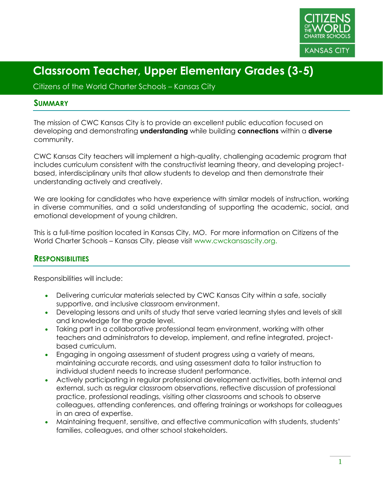

Citizens of the World Charter Schools – Kansas City

#### **SUMMARY**

The mission of CWC Kansas City is to provide an excellent public education focused on developing and demonstrating **understanding** while building **connections** within a **diverse** community.

CWC Kansas City teachers will implement a high-quality, challenging academic program that includes curriculum consistent with the constructivist learning theory, and developing projectbased, interdisciplinary units that allow students to develop and then demonstrate their understanding actively and creatively.

We are looking for candidates who have experience with similar models of instruction, working in diverse communities, and a solid understanding of supporting the academic, social, and emotional development of young children.

This is a full-time position located in Kansas City, MO. For more information on Citizens of the World Charter Schools – Kansas City, please visit www.cwckansascity.org.

#### **RESPONSIBILITIES**

Responsibilities will include:

- Delivering curricular materials selected by CWC Kansas City within a safe, socially supportive, and inclusive classroom environment.
- Developing lessons and units of study that serve varied learning styles and levels of skill and knowledge for the grade level.
- Taking part in a collaborative professional team environment, working with other teachers and administrators to develop, implement, and refine integrated, projectbased curriculum.
- Engaging in ongoing assessment of student progress using a variety of means, maintaining accurate records, and using assessment data to tailor instruction to individual student needs to increase student performance.
- Actively participating in regular professional development activities, both internal and external, such as regular classroom observations, reflective discussion of professional practice, professional readings, visiting other classrooms and schools to observe colleagues, attending conferences, and offering trainings or workshops for colleagues in an area of expertise.
- Maintaining frequent, sensitive, and effective communication with students, students' families, colleagues, and other school stakeholders.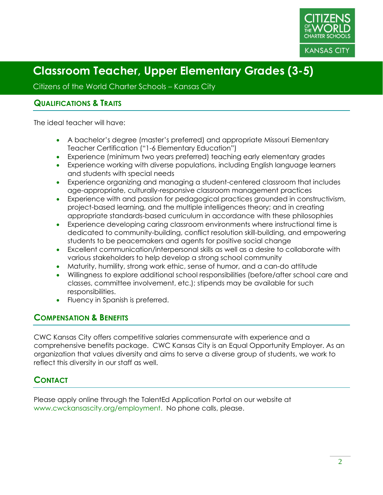

Citizens of the World Charter Schools – Kansas City

#### **QUALIFICATIONS & TRAITS**

The ideal teacher will have:

- A bachelor's degree (master's preferred) and appropriate Missouri Elementary Teacher Certification ("1-6 Elementary Education")
- Experience (minimum two years preferred) teaching early elementary grades
- Experience working with diverse populations, including English language learners and students with special needs
- Experience organizing and managing a student-centered classroom that includes age-appropriate, culturally-responsive classroom management practices
- Experience with and passion for pedagogical practices grounded in constructivism, project-based learning, and the multiple intelligences theory; and in creating appropriate standards-based curriculum in accordance with these philosophies
- Experience developing caring classroom environments where instructional time is dedicated to community-building, conflict resolution skill-building, and empowering students to be peacemakers and agents for positive social change
- Excellent communication/interpersonal skills as well as a desire to collaborate with various stakeholders to help develop a strong school community
- Maturity, humility, strong work ethic, sense of humor, and a can-do attitude
- Willingness to explore additional school responsibilities (before/after school care and classes, committee involvement, etc.); stipends may be available for such responsibilities.
- Fluency in Spanish is preferred.

## **COMPENSATION & BENEFITS**

CWC Kansas City offers competitive salaries commensurate with experience and a comprehensive benefits package. CWC Kansas City is an Equal Opportunity Employer. As an organization that values diversity and aims to serve a diverse group of students, we work to reflect this diversity in our staff as well.

## **CONTACT**

Please apply online through the TalentEd Application Portal on our website at www.cwckansascity.org/employment. No phone calls, please.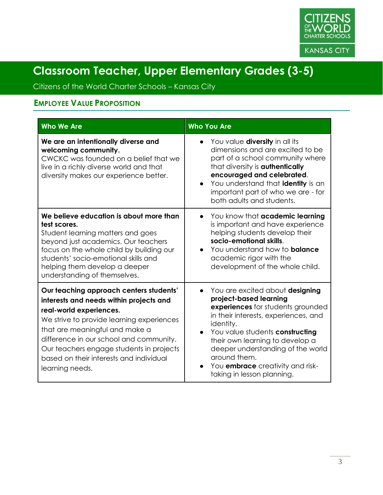

Citizens of the World Charter Schools – Kansas City

## **EMPLOYEE VALUE PROPOSITION**

| <b>Who We Are</b>                                                                                                                                                                                                                                                                                                                                 | <b>Who You Are</b>                                                                                                                                                                                                                                                                                                                                                                |
|---------------------------------------------------------------------------------------------------------------------------------------------------------------------------------------------------------------------------------------------------------------------------------------------------------------------------------------------------|-----------------------------------------------------------------------------------------------------------------------------------------------------------------------------------------------------------------------------------------------------------------------------------------------------------------------------------------------------------------------------------|
| We are an intentionally diverse and<br>welcoming community.<br>CWCKC was founded on a belief that we<br>live in a richly diverse world and that<br>diversity makes our experience better.                                                                                                                                                         | You value <b>diversity</b> in all its<br>$\bullet$<br>dimensions and are excited to be<br>part of a school community where<br>that diversity is <b>authentically</b><br>encouraged and celebrated.<br>You understand that identity is an<br>important part of who we are - for<br>both adults and students.                                                                       |
| We believe education is about more than<br>test scores.<br>Student learning matters and goes<br>beyond just academics. Our teachers<br>focus on the whole child by building our<br>students' socio-emotional skills and<br>helping them develop a deeper<br>understanding of themselves.                                                          | You know that academic learning<br>is important and have experience<br>helping students develop their<br>socio-emotional skills.<br>You understand how to <b>balance</b><br>$\bullet$<br>academic rigor with the<br>development of the whole child.                                                                                                                               |
| Our teaching approach centers students'<br>interests and needs within projects and<br>real-world experiences.<br>We strive to provide learning experiences<br>that are meaningful and make a<br>difference in our school and community.<br>Our teachers engage students in projects<br>based on their interests and individual<br>learning needs. | You are excited about designing<br>$\bullet$<br>project-based learning<br>experiences for students grounded<br>in their interests, experiences, and<br>identity.<br>You value students constructing<br>$\bullet$<br>their own learning to develop a<br>deeper understanding of the world<br>around them.<br>You <b>embrace</b> creativity and risk-<br>taking in lesson planning. |